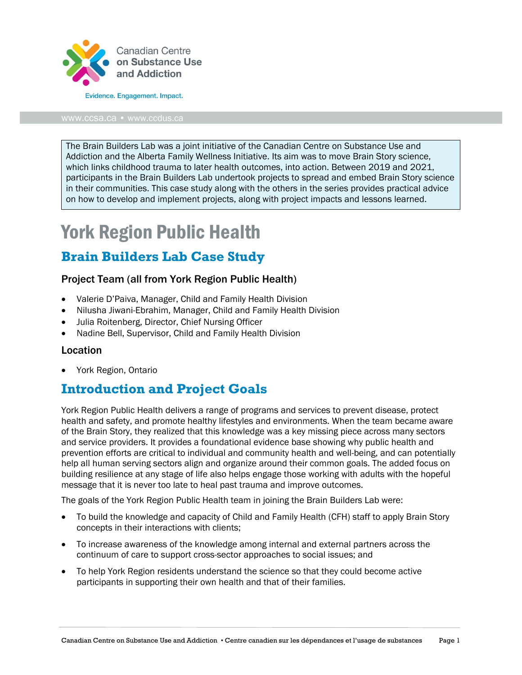

www.ccsa.ca • www.ccdus.ca

The Brain Builders Lab was a joint initiative of the Canadian Centre on Substance Use and Addiction and the Alberta Family Wellness Initiative. Its aim was to move Brain Story science, which links childhood trauma to later health outcomes, into action. Between 2019 and 2021, participants in the Brain Builders Lab undertook projects to spread and embed Brain Story science in their communities. This case study along with the others in the series provides practical advice on how to develop and implement projects, along with project impacts and lessons learned.

# York Region Public Health

## **Brain Builders Lab Case Study**

#### Project Team (all from York Region Public Health)

- Valerie D'Paiva, Manager, Child and Family Health Division
- Nilusha Jiwani-Ebrahim, Manager, Child and Family Health Division
- Julia Roitenberg, Director, Chief Nursing Officer
- Nadine Bell, Supervisor, Child and Family Health Division

#### Location

• York Region, Ontario

### **Introduction and Project Goals**

York Region Public Health delivers a range of programs and services to prevent disease, protect health and safety, and promote healthy lifestyles and environments. When the team became aware of the Brain Story, they realized that this knowledge was a key missing piece across many sectors and service providers. It provides a foundational evidence base showing why public health and prevention efforts are critical to individual and community health and well-being, and can potentially help all human serving sectors align and organize around their common goals. The added focus on building resilience at any stage of life also helps engage those working with adults with the hopeful message that it is never too late to heal past trauma and improve outcomes.

The goals of the York Region Public Health team in joining the Brain Builders Lab were:

- To build the knowledge and capacity of Child and Family Health (CFH) staff to apply Brain Story concepts in their interactions with clients;
- To increase awareness of the knowledge among internal and external partners across the continuum of care to support cross-sector approaches to social issues; and
- To help York Region residents understand the science so that they could become active participants in supporting their own health and that of their families.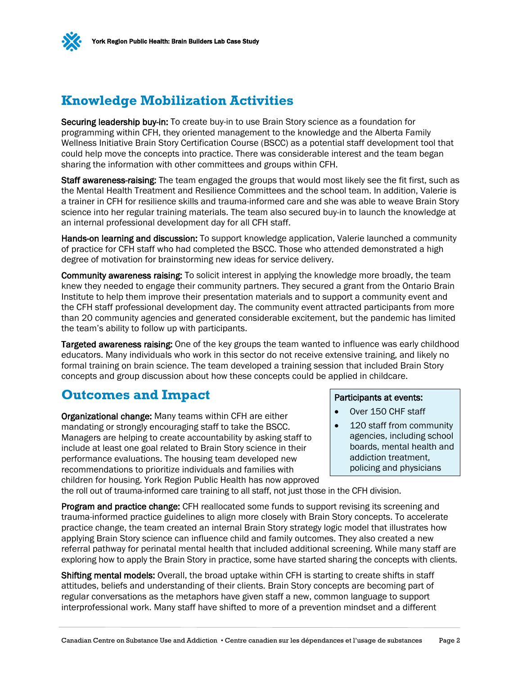

### **Knowledge Mobilization Activities**

Securing leadership buy-in: To create buy-in to use Brain Story science as a foundation for programming within CFH, they oriented management to the knowledge and the Alberta Family Wellness Initiative Brain Story Certification Course (BSCC) as a potential staff development tool that could help move the concepts into practice. There was considerable interest and the team began sharing the information with other committees and groups within CFH.

Staff awareness-raising: The team engaged the groups that would most likely see the fit first, such as the Mental Health Treatment and Resilience Committees and the school team. In addition, Valerie is a trainer in CFH for resilience skills and trauma-informed care and she was able to weave Brain Story science into her regular training materials. The team also secured buy-in to launch the knowledge at an internal professional development day for all CFH staff.

Hands-on learning and discussion: To support knowledge application, Valerie launched a community of practice for CFH staff who had completed the BSCC. Those who attended demonstrated a high degree of motivation for brainstorming new ideas for service delivery.

Community awareness raising: To solicit interest in applying the knowledge more broadly, the team knew they needed to engage their community partners. They secured a grant from the Ontario Brain Institute to help them improve their presentation materials and to support a community event and the CFH staff professional development day. The community event attracted participants from more than 20 community agencies and generated considerable excitement, but the pandemic has limited the team's ability to follow up with participants.

Targeted awareness raising: One of the key groups the team wanted to influence was early childhood educators. Many individuals who work in this sector do not receive extensive training, and likely no formal training on brain science. The team developed a training session that included Brain Story concepts and group discussion about how these concepts could be applied in childcare.

### **Outcomes and Impact**

Organizational change: Many teams within CFH are either mandating or strongly encouraging staff to take the BSCC. Managers are helping to create accountability by asking staff to include at least one goal related to Brain Story science in their performance evaluations. The housing team developed new recommendations to prioritize individuals and families with children for housing. York Region Public Health has now approved

#### Participants at events:

- Over 150 CHF staff
- 120 staff from community agencies, including school boards, mental health and addiction treatment, policing and physicians

the roll out of trauma-informed care training to all staff, not just those in the CFH division.

Program and practice change: CFH reallocated some funds to support revising its screening and trauma-informed practice guidelines to align more closely with Brain Story concepts. To accelerate practice change, the team created an internal Brain Story strategy logic model that illustrates how applying Brain Story science can influence child and family outcomes. They also created a new referral pathway for perinatal mental health that included additional screening. While many staff are exploring how to apply the Brain Story in practice, some have started sharing the concepts with clients.

Shifting mental models: Overall, the broad uptake within CFH is starting to create shifts in staff attitudes, beliefs and understanding of their clients. Brain Story concepts are becoming part of regular conversations as the metaphors have given staff a new, common language to support interprofessional work. Many staff have shifted to more of a prevention mindset and a different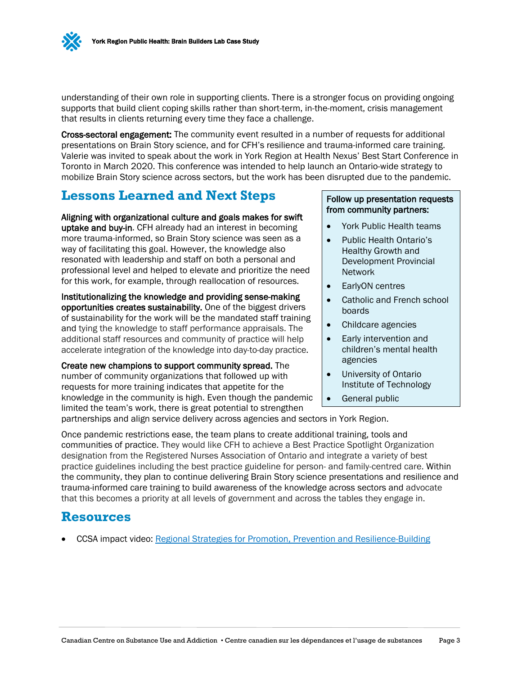understanding of their own role in supporting clients. There is a stronger focus on providing ongoing supports that build client coping skills rather than short-term, in-the-moment, crisis management that results in clients returning every time they face a challenge.

Cross-sectoral engagement: The community event resulted in a number of requests for additional presentations on Brain Story science, and for CFH's resilience and trauma-informed care training. Valerie was invited to speak about the work in York Region at Health Nexus' Best Start Conference in Toronto in March 2020. This conference was intended to help launch an Ontario-wide strategy to mobilize Brain Story science across sectors, but the work has been disrupted due to the pandemic.

### **Lessons Learned and Next Steps**

Aligning with organizational culture and goals makes for swift uptake and buy-in. CFH already had an interest in becoming more trauma-informed, so Brain Story science was seen as a way of facilitating this goal. However, the knowledge also resonated with leadership and staff on both a personal and professional level and helped to elevate and prioritize the need for this work, for example, through reallocation of resources.

Institutionalizing the knowledge and providing sense-making opportunities creates sustainability. One of the biggest drivers of sustainability for the work will be the mandated staff training and tying the knowledge to staff performance appraisals. The additional staff resources and community of practice will help accelerate integration of the knowledge into day-to-day practice.

Create new champions to support community spread. The number of community organizations that followed up with requests for more training indicates that appetite for the knowledge in the community is high. Even though the pandemic limited the team's work, there is great potential to strengthen

#### Follow up presentation requests from community partners:

- York Public Health teams
- Public Health Ontario's Healthy Growth and Development Provincial Network
- EarlyON centres
- Catholic and French school boards
- Childcare agencies
- Early intervention and children's mental health agencies
- University of Ontario Institute of Technology
	- General public

partnerships and align service delivery across agencies and sectors in York Region.

Once pandemic restrictions ease, the team plans to create additional training, tools and communities of practice. They would like CFH to achieve a Best Practice Spotlight Organization designation from the Registered Nurses Association of Ontario and integrate a variety of best practice guidelines including the best practice guideline for person- and family-centred care. Within the community, they plan to continue delivering Brain Story science presentations and resilience and trauma-informed care training to build awareness of the knowledge across sectors and advocate that this becomes a priority at all levels of government and across the tables they engage in.

#### **Resources**

• CCSA impact video: [Regional Strategies for Promotion, Prevention and Resilience-Building](https://www.youtube.com/watch?v=5NwgYsKrZ04&list=PL1VWJFnRE-UQph04e5YSXdr8VxWHj_P9U&index=9&ab_channel=CCSA%2FCCDUS)